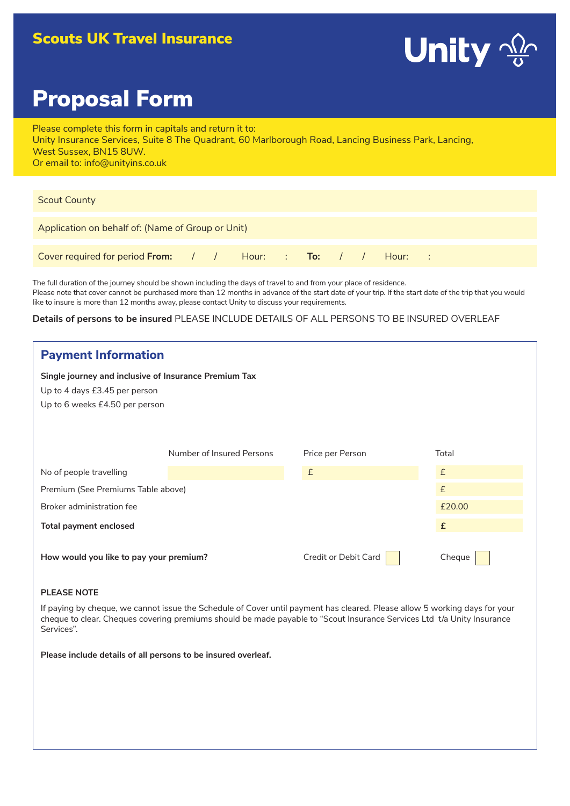# Scouts UK Travel Insurance



# Proposal Form

Please complete this form in capitals and return it to: Unity Insurance Services, Suite 8 The Quadrant, 60 Marlborough Road, Lancing Business Park, Lancing, West Sussex, BN15 8UW. Or email to: info@unityins.co.uk

| <b>Scout County</b>                                         |  |  |  |  |  |  |  |  |  |  |
|-------------------------------------------------------------|--|--|--|--|--|--|--|--|--|--|
| Application on behalf of: (Name of Group or Unit)           |  |  |  |  |  |  |  |  |  |  |
| Cover required for period From: / / Hour: : To: / / Hour: : |  |  |  |  |  |  |  |  |  |  |

The full duration of the journey should be shown including the days of travel to and from your place of residence. Please note that cover cannot be purchased more than 12 months in advance of the start date of your trip. If the start date of the trip that you would like to insure is more than 12 months away, please contact Unity to discuss your requirements.

# **Details of persons to be insured** PLEASE INCLUDE DETAILS OF ALL PERSONS TO BE INSURED OVERLEAF

| <b>Payment Information</b>                                                                                               |                           |                      |        |  |  |
|--------------------------------------------------------------------------------------------------------------------------|---------------------------|----------------------|--------|--|--|
| Single journey and inclusive of Insurance Premium Tax<br>Up to 4 days £3.45 per person<br>Up to 6 weeks £4.50 per person |                           |                      |        |  |  |
|                                                                                                                          | Number of Insured Persons | Price per Person     | Total  |  |  |
| No of people travelling                                                                                                  |                           | £                    | £      |  |  |
| Premium (See Premiums Table above)                                                                                       |                           |                      | £      |  |  |
| Broker administration fee                                                                                                |                           | £20.00               |        |  |  |
| Total payment enclosed                                                                                                   |                           |                      | £      |  |  |
| How would you like to pay your premium?                                                                                  |                           | Credit or Debit Card | Cheque |  |  |

# **PLEASE NOTE**

If paying by cheque, we cannot issue the Schedule of Cover until payment has cleared. Please allow 5 working days for your cheque to clear. Cheques covering premiums should be made payable to "Scout Insurance Services Ltd t/a Unity Insurance Services".

**Please include details of all persons to be insured overleaf.**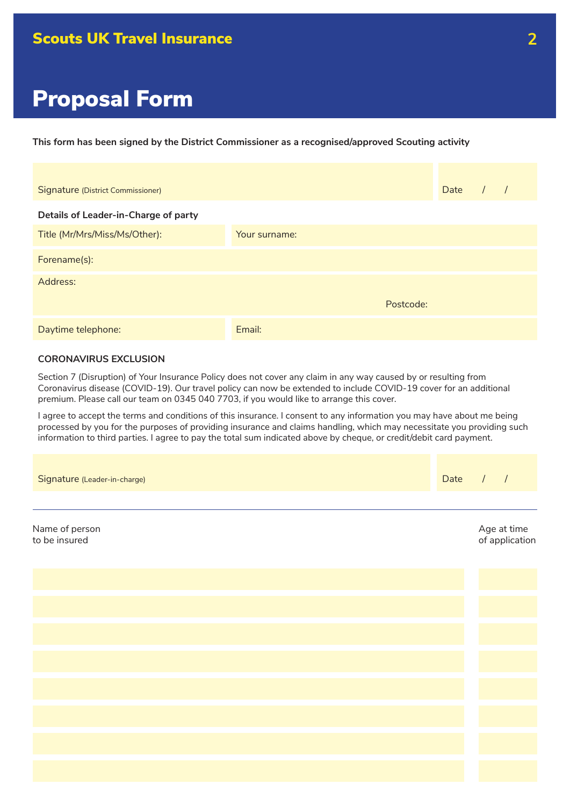**This form has been signed by the District Commissioner as a recognised/approved Scouting activity**

| Signature (District Commissioner)    |               |           | Date |  |
|--------------------------------------|---------------|-----------|------|--|
| Details of Leader-in-Charge of party |               |           |      |  |
| Title (Mr/Mrs/Miss/Ms/Other):        | Your surname: |           |      |  |
| Forename(s):                         |               |           |      |  |
| Address:                             |               |           |      |  |
|                                      |               | Postcode: |      |  |
| Daytime telephone:                   | Email:        |           |      |  |

# **CORONAVIRUS EXCLUSION**

Section 7 (Disruption) of Your Insurance Policy does not cover any claim in any way caused by or resulting from Coronavirus disease (COVID-19). Our travel policy can now be extended to include COVID-19 cover for an additional premium. Please call our team on 0345 040 7703, if you would like to arrange this cover.

I agree to accept the terms and conditions of this insurance. I consent to any information you may have about me being processed by you for the purposes of providing insurance and claims handling, which may necessitate you providing such information to third parties. I agree to pay the total sum indicated above by cheque, or credit/debit card payment.

| Signature (Leader-in-charge)    | Date | 1 |                               |
|---------------------------------|------|---|-------------------------------|
|                                 |      |   |                               |
| Name of person<br>to be insured |      |   | Age at time<br>of application |
|                                 |      |   |                               |
|                                 |      |   |                               |
|                                 |      |   |                               |
|                                 |      |   |                               |
|                                 |      |   |                               |
|                                 |      |   |                               |
|                                 |      |   |                               |
|                                 |      |   |                               |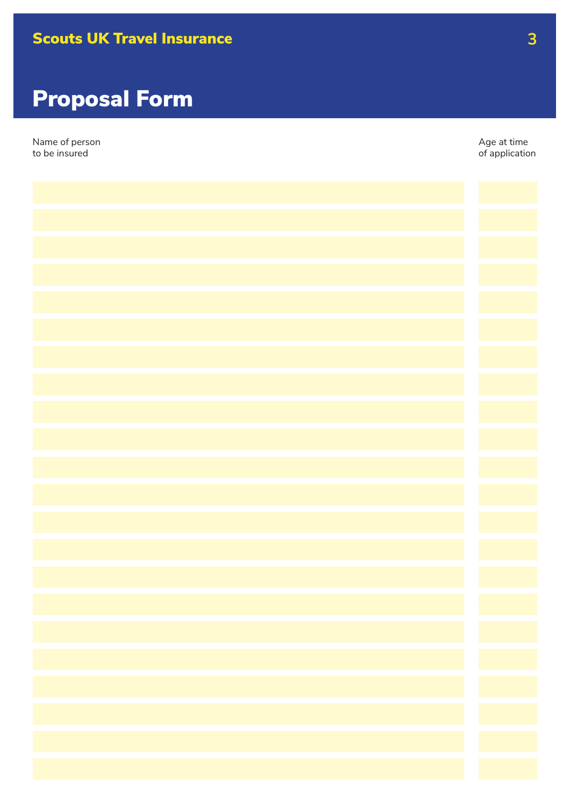

| Name of person<br>to be insured | Age at time<br>of application |
|---------------------------------|-------------------------------|
|                                 |                               |
|                                 |                               |
|                                 |                               |
|                                 |                               |
|                                 |                               |
|                                 |                               |
|                                 |                               |
|                                 |                               |
|                                 |                               |
|                                 |                               |
|                                 |                               |
|                                 |                               |
|                                 |                               |
|                                 |                               |
|                                 |                               |
|                                 |                               |
|                                 |                               |
|                                 |                               |
|                                 |                               |
|                                 |                               |
|                                 |                               |
|                                 |                               |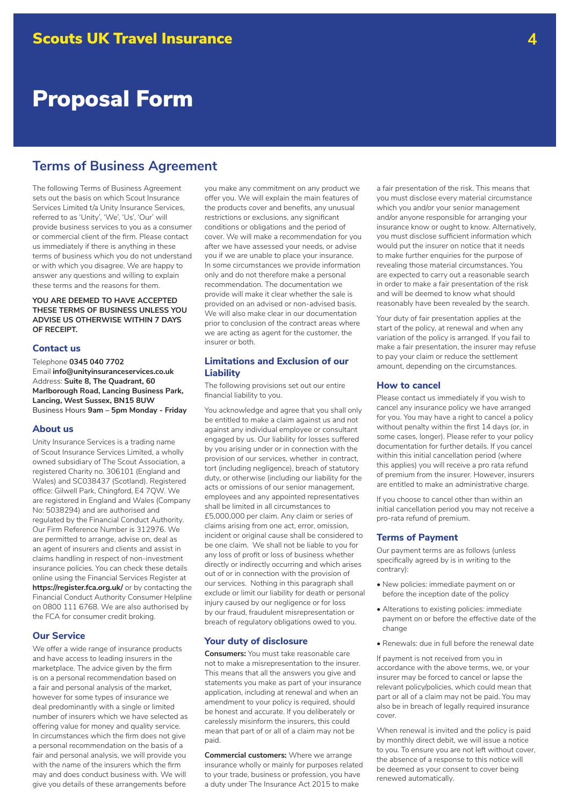# **Terms of Business Agreement**

The following Terms of Business Agreement sets out the basis on which Scout Insurance Services Limited t/a Unity Insurance Services, referred to as 'Unity', 'We', 'Us', 'Our' will provide business services to you as a consumer or commercial client of the firm. Please contact us immediately if there is anything in these terms of business which you do not understand or with which you disagree. We are happy to answer any questions and willing to explain these terms and the reasons for them.

### **YOU ARE DEEMED TO HAVE ACCEPTED THESE TERMS OF BUSINESS UNLESS YOU ADVISE US OTHERWISE WITHIN 7 DAYS OF RECEIPT.**

#### **Contact us**

Telephone **0345 040 7702** Email **info@unityinsuranceservices.co.uk** Address: **Suite 8, The Quadrant, 60 Marlborough Road, Lancing Business Park, Lancing, West Sussex, BN15 8UW**  Business Hours **9am – 5pm Monday - Friday**

#### **About us**

Unity Insurance Services is a trading name of Scout Insurance Services Limited, a wholly owned subsidiary of The Scout Association, a registered Charity no. 306101 (England and Wales) and SC038437 (Scotland). Registered office: Gilwell Park, Chingford, E4 7QW. We are registered in England and Wales (Company No: 5038294) and are authorised and regulated by the Financial Conduct Authority. Our Firm Reference Number is 312976. We are permitted to arrange, advise on, deal as an agent of insurers and clients and assist in claims handling in respect of non-investment insurance policies. You can check these details online using the Financial Services Register at **https://register.fca.org.uk/** or by contacting the Financial Conduct Authority Consumer Helpline on 0800 111 6768. We are also authorised by the FCA for consumer credit broking.

# **Our Service**

We offer a wide range of insurance products and have access to leading insurers in the marketplace. The advice given by the firm is on a personal recommendation based on a fair and personal analysis of the market, however for some types of insurance we deal predominantly with a single or limited number of insurers which we have selected as offering value for money and quality service. In circumstances which the firm does not give a personal recommendation on the basis of a fair and personal analysis, we will provide you with the name of the insurers which the firm may and does conduct business with. We will give you details of these arrangements before

you make any commitment on any product we offer you. We will explain the main features of the products cover and benefits, any unusual restrictions or exclusions, any significant conditions or obligations and the period of cover. We will make a recommendation for you after we have assessed your needs, or advise you if we are unable to place your insurance. In some circumstances we provide information only and do not therefore make a personal recommendation. The documentation we provide will make it clear whether the sale is provided on an advised or non-advised basis. We will also make clear in our documentation prior to conclusion of the contract areas where we are acting as agent for the customer, the insurer or both.

# **Limitations and Exclusion of our Liability**

The following provisions set out our entire financial liability to you.

You acknowledge and agree that you shall only be entitled to make a claim against us and not against any individual employee or consultant engaged by us. Our liability for losses suffered by you arising under or in connection with the provision of our services, whether in contract, tort (including negligence), breach of statutory duty, or otherwise (including our liability for the acts or omissions of our senior management, employees and any appointed representatives shall be limited in all circumstances to £5,000,000 per claim. Any claim or series of claims arising from one act, error, omission, incident or original cause shall be considered to be one claim. We shall not be liable to you for any loss of profit or loss of business whether directly or indirectly occurring and which arises out of or in connection with the provision of our services. Nothing in this paragraph shall exclude or limit our liability for death or personal injury caused by our negligence or for loss by our fraud, fraudulent misrepresentation or breach of regulatory obligations owed to you.

#### **Your duty of disclosure**

**Consumers:** You must take reasonable care not to make a misrepresentation to the insurer. This means that all the answers you give and statements you make as part of your insurance application, including at renewal and when an amendment to your policy is required, should be honest and accurate. If you deliberately or carelessly misinform the insurers, this could mean that part of or all of a claim may not be paid.

**Commercial customers:** Where we arrange insurance wholly or mainly for purposes related to your trade, business or profession, you have a duty under The Insurance Act 2015 to make

a fair presentation of the risk. This means that you must disclose every material circumstance which you and/or your senior management and/or anyone responsible for arranging your insurance know or ought to know. Alternatively, you must disclose sufficient information which would put the insurer on notice that it needs to make further enquiries for the purpose of revealing those material circumstances. You are expected to carry out a reasonable search in order to make a fair presentation of the risk and will be deemed to know what should reasonably have been revealed by the search.

Your duty of fair presentation applies at the start of the policy, at renewal and when any variation of the policy is arranged. If you fail to make a fair presentation, the insurer may refuse to pay your claim or reduce the settlement amount, depending on the circumstances.

#### **How to cancel**

Please contact us immediately if you wish to cancel any insurance policy we have arranged for you. You may have a right to cancel a policy without penalty within the first 14 days (or, in some cases, longer). Please refer to your policy documentation for further details. If you cancel within this initial cancellation period (where this applies) you will receive a pro rata refund of premium from the insurer. However, insurers are entitled to make an administrative charge.

If you choose to cancel other than within an initial cancellation period you may not receive a pro-rata refund of premium.

#### **Terms of Payment**

Our payment terms are as follows (unless specifically agreed by is in writing to the contrary):

- New policies: immediate payment on or before the inception date of the policy
- Alterations to existing policies: immediate payment on or before the effective date of the change
- Renewals: due in full before the renewal date

If payment is not received from you in accordance with the above terms, we, or your insurer may be forced to cancel or lapse the relevant policy/policies, which could mean that part or all of a claim may not be paid. You may also be in breach of legally required insurance cover.

When renewal is invited and the policy is paid by monthly direct debit, we will issue a notice to you. To ensure you are not left without cover, the absence of a response to this notice will be deemed as your consent to cover being renewed automatically.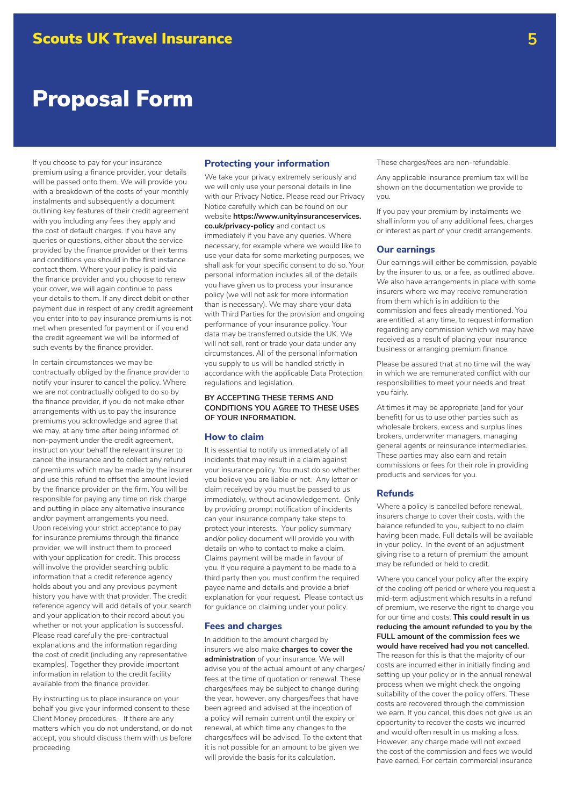If you choose to pay for your insurance premium using a finance provider, your details will be passed onto them. We will provide you with a breakdown of the costs of your monthly instalments and subsequently a document outlining key features of their credit agreement with you including any fees they apply and the cost of default charges. If you have any queries or questions, either about the service provided by the finance provider or their terms and conditions you should in the first instance contact them. Where your policy is paid via the finance provider and you choose to renew your cover, we will again continue to pass your details to them. If any direct debit or other payment due in respect of any credit agreement you enter into to pay insurance premiums is not met when presented for payment or if you end the credit agreement we will be informed of such events by the finance provider.

In certain circumstances we may be contractually obliged by the finance provider to notify your insurer to cancel the policy. Where we are not contractually obliged to do so by the finance provider, if you do not make other arrangements with us to pay the insurance premiums you acknowledge and agree that we may, at any time after being informed of non-payment under the credit agreement, instruct on your behalf the relevant insurer to cancel the insurance and to collect any refund of premiums which may be made by the insurer and use this refund to offset the amount levied by the finance provider on the firm. You will be responsible for paying any time on risk charge and putting in place any alternative insurance and/or payment arrangements you need. Upon receiving your strict acceptance to pay for insurance premiums through the finance provider, we will instruct them to proceed with your application for credit. This process will involve the provider searching public information that a credit reference agency holds about you and any previous payment history you have with that provider. The credit reference agency will add details of your search and your application to their record about you whether or not your application is successful. Please read carefully the pre-contractual explanations and the information regarding the cost of credit (including any representative examples). Together they provide important information in relation to the credit facility available from the finance provider.

By instructing us to place insurance on your behalf you give your informed consent to these Client Money procedures. If there are any matters which you do not understand, or do not accept, you should discuss them with us before proceeding

# **Protecting your information**

We take your privacy extremely seriously and we will only use your personal details in line with our Privacy Notice. Please read our Privacy Notice carefully which can be found on our website **https://www.unityinsuranceservices. co.uk/privacy-policy** and contact us immediately if you have any queries. Where necessary, for example where we would like to use your data for some marketing purposes, we shall ask for your specific consent to do so. Your personal information includes all of the details you have given us to process your insurance policy (we will not ask for more information than is necessary). We may share your data with Third Parties for the provision and ongoing performance of your insurance policy. Your data may be transferred outside the UK. We will not sell, rent or trade your data under any circumstances. All of the personal information you supply to us will be handled strictly in accordance with the applicable Data Protection regulations and legislation.

### **BY ACCEPTING THESE TERMS AND CONDITIONS YOU AGREE TO THESE USES OF YOUR INFORMATION.**

#### **How to claim**

It is essential to notify us immediately of all incidents that may result in a claim against your insurance policy. You must do so whether you believe you are liable or not. Any letter or claim received by you must be passed to us immediately, without acknowledgement. Only by providing prompt notification of incidents can your insurance company take steps to protect your interests. Your policy summary and/or policy document will provide you with details on who to contact to make a claim. Claims payment will be made in favour of you. If you require a payment to be made to a third party then you must confirm the required payee name and details and provide a brief explanation for your request. Please contact us for guidance on claiming under your policy.

#### **Fees and charges**

In addition to the amount charged by insurers we also make **charges to cover the administration** of your insurance. We will advise you of the actual amount of any charges/ fees at the time of quotation or renewal. These charges/fees may be subject to change during the year, however, any charges/fees that have been agreed and advised at the inception of a policy will remain current until the expiry or renewal, at which time any changes to the charges/fees will be advised. To the extent that it is not possible for an amount to be given we will provide the basis for its calculation.

These charges/fees are non-refundable.

Any applicable insurance premium tax will be shown on the documentation we provide to you.

If you pay your premium by instalments we shall inform you of any additional fees, charges or interest as part of your credit arrangements.

#### **Our earnings**

Our earnings will either be commission, payable by the insurer to us, or a fee, as outlined above. We also have arrangements in place with some insurers where we may receive remuneration from them which is in addition to the commission and fees already mentioned. You are entitled, at any time, to request information regarding any commission which we may have received as a result of placing your insurance business or arranging premium finance.

Please be assured that at no time will the way in which we are remunerated conflict with our responsibilities to meet your needs and treat you fairly.

At times it may be appropriate (and for your benefit) for us to use other parties such as wholesale brokers, excess and surplus lines brokers, underwriter managers, managing general agents or reinsurance intermediaries. These parties may also earn and retain commissions or fees for their role in providing products and services for you.

#### **Refunds**

Where a policy is cancelled before renewal, insurers charge to cover their costs, with the balance refunded to you, subject to no claim having been made. Full details will be available in your policy. In the event of an adjustment giving rise to a return of premium the amount may be refunded or held to credit.

Where you cancel your policy after the expiry of the cooling off period or where you request a mid-term adjustment which results in a refund of premium, we reserve the right to charge you for our time and costs. **This could result in us reducing the amount refunded to you by the FULL amount of the commission fees we would have received had you not cancelled.**  The reason for this is that the majority of our costs are incurred either in initially finding and setting up your policy or in the annual renewal process when we might check the ongoing suitability of the cover the policy offers. These costs are recovered through the commission we earn. If you cancel, this does not give us an opportunity to recover the costs we incurred and would often result in us making a loss. However, any charge made will not exceed the cost of the commission and fees we would have earned. For certain commercial insurance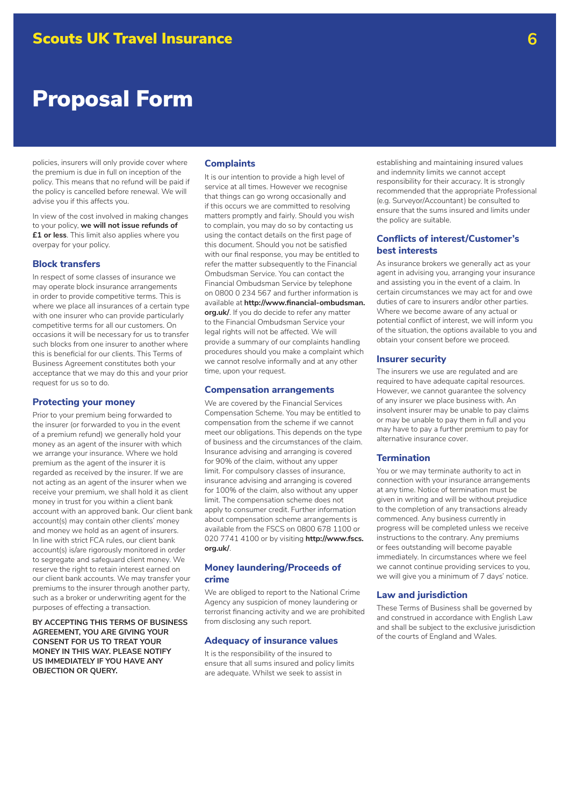policies, insurers will only provide cover where the premium is due in full on inception of the policy. This means that no refund will be paid if the policy is cancelled before renewal. We will advise you if this affects you.

In view of the cost involved in making changes to your policy, **we will not issue refunds of £1 or less**. This limit also applies where you overpay for your policy.

### **Block transfers**

In respect of some classes of insurance we may operate block insurance arrangements in order to provide competitive terms. This is where we place all insurances of a certain type with one insurer who can provide particularly competitive terms for all our customers. On occasions it will be necessary for us to transfer such blocks from one insurer to another where this is beneficial for our clients. This Terms of Business Agreement constitutes both your acceptance that we may do this and your prior request for us so to do.

## **Protecting your money**

Prior to your premium being forwarded to the insurer (or forwarded to you in the event of a premium refund) we generally hold your money as an agent of the insurer with which we arrange your insurance. Where we hold premium as the agent of the insurer it is regarded as received by the insurer. If we are not acting as an agent of the insurer when we receive your premium, we shall hold it as client money in trust for you within a client bank account with an approved bank. Our client bank account(s) may contain other clients' money and money we hold as an agent of insurers. In line with strict FCA rules, our client bank account(s) is/are rigorously monitored in order to segregate and safeguard client money. We reserve the right to retain interest earned on our client bank accounts. We may transfer your premiums to the insurer through another party, such as a broker or underwriting agent for the purposes of effecting a transaction.

**BY ACCEPTING THIS TERMS OF BUSINESS AGREEMENT, YOU ARE GIVING YOUR CONSENT FOR US TO TREAT YOUR MONEY IN THIS WAY. PLEASE NOTIFY US IMMEDIATELY IF YOU HAVE ANY OBJECTION OR QUERY.**

#### **Complaints**

It is our intention to provide a high level of service at all times. However we recognise that things can go wrong occasionally and if this occurs we are committed to resolving matters promptly and fairly. Should you wish to complain, you may do so by contacting us using the contact details on the first page of this document. Should you not be satisfied with our final response, you may be entitled to refer the matter subsequently to the Financial Ombudsman Service. You can contact the Financial Ombudsman Service by telephone on 0800 0 234 567 and further information is available at **http://www.financial-ombudsman. org.uk/**. If you do decide to refer any matter to the Financial Ombudsman Service your legal rights will not be affected. We will provide a summary of our complaints handling procedures should you make a complaint which we cannot resolve informally and at any other time, upon your request.

#### **Compensation arrangements**

We are covered by the Financial Services Compensation Scheme. You may be entitled to compensation from the scheme if we cannot meet our obligations. This depends on the type of business and the circumstances of the claim. Insurance advising and arranging is covered for 90% of the claim, without any upper limit. For compulsory classes of insurance, insurance advising and arranging is covered for 100% of the claim, also without any upper limit. The compensation scheme does not apply to consumer credit. Further information about compensation scheme arrangements is available from the FSCS on 0800 678 1100 or 020 7741 4100 or by visiting **http://www.fscs. org.uk/**.

## **Money laundering/Proceeds of crime**

We are obliged to report to the National Crime Agency any suspicion of money laundering or terrorist financing activity and we are prohibited from disclosing any such report.

#### **Adequacy of insurance values**

It is the responsibility of the insured to ensure that all sums insured and policy limits are adequate. Whilst we seek to assist in

establishing and maintaining insured values and indemnity limits we cannot accept responsibility for their accuracy. It is strongly recommended that the appropriate Professional (e.g. Surveyor/Accountant) be consulted to ensure that the sums insured and limits under the policy are suitable.

## **Conflicts of interest/Customer's best interests**

As insurance brokers we generally act as your agent in advising you, arranging your insurance and assisting you in the event of a claim. In certain circumstances we may act for and owe duties of care to insurers and/or other parties. Where we become aware of any actual or potential conflict of interest, we will inform you of the situation, the options available to you and obtain your consent before we proceed.

#### **Insurer security**

The insurers we use are regulated and are required to have adequate capital resources. However, we cannot guarantee the solvency of any insurer we place business with. An insolvent insurer may be unable to pay claims or may be unable to pay them in full and you may have to pay a further premium to pay for alternative insurance cover.

### **Termination**

You or we may terminate authority to act in connection with your insurance arrangements at any time. Notice of termination must be given in writing and will be without prejudice to the completion of any transactions already commenced. Any business currently in progress will be completed unless we receive instructions to the contrary. Any premiums or fees outstanding will become payable immediately. In circumstances where we feel we cannot continue providing services to you, we will give you a minimum of 7 days' notice.

#### **Law and jurisdiction**

These Terms of Business shall be governed by and construed in accordance with English Law and shall be subject to the exclusive jurisdiction of the courts of England and Wales.